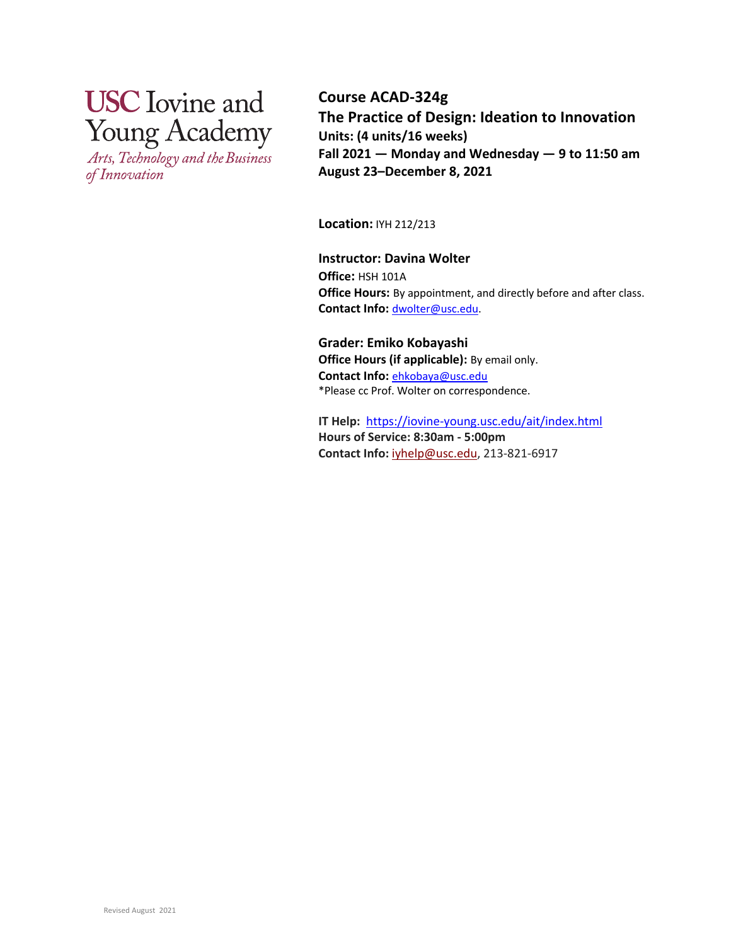# **USC** Iovine and **Young Academy**

Arts, Technology and the Business of Innovation

**Course ACAD-324g The Practice of Design: Ideation to Innovation Units: (4 units/16 weeks) Fall 2021 — Monday and Wednesday — 9 to 11:50 am August 23–December 8, 2021**

**Location:** IYH 212/213

**Instructor: Davina Wolter Office:** HSH 101A **Office Hours:** By appointment, and directly before and after class. **Contact Info:** dwolter@usc.edu.

**Grader: Emiko Kobayashi Office Hours (if applicable):** By email only. **Contact Info:** ehkobaya@usc.edu \*Please cc Prof. Wolter on correspondence.

**IT Help:** https://iovine-young.usc.edu/ait/index.html **Hours of Service: 8:30am - 5:00pm Contact Info:**iyhelp@usc.edu, 213-821-6917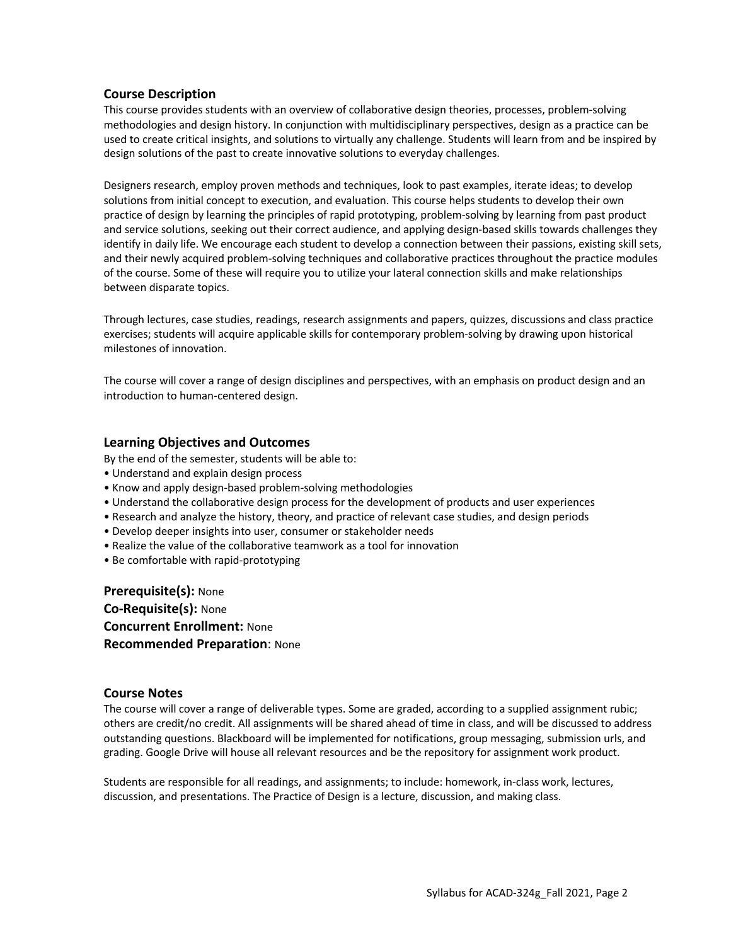### **Course Description**

This course provides students with an overview of collaborative design theories, processes, problem-solving methodologies and design history. In conjunction with multidisciplinary perspectives, design as a practice can be used to create critical insights, and solutions to virtually any challenge. Students will learn from and be inspired by design solutions of the past to create innovative solutions to everyday challenges.

Designers research, employ proven methods and techniques, look to past examples, iterate ideas; to develop solutions from initial concept to execution, and evaluation. This course helps students to develop their own practice of design by learning the principles of rapid prototyping, problem-solving by learning from past product and service solutions, seeking out their correct audience, and applying design-based skills towards challenges they identify in daily life. We encourage each student to develop a connection between their passions, existing skill sets, and their newly acquired problem-solving techniques and collaborative practices throughout the practice modules of the course. Some of these will require you to utilize your lateral connection skills and make relationships between disparate topics.

Through lectures, case studies, readings, research assignments and papers, quizzes, discussions and class practice exercises; students will acquire applicable skills for contemporary problem-solving by drawing upon historical milestones of innovation.

The course will cover a range of design disciplines and perspectives, with an emphasis on product design and an introduction to human-centered design.

### **Learning Objectives and Outcomes**

By the end of the semester, students will be able to:

- Understand and explain design process
- Know and apply design-based problem-solving methodologies
- Understand the collaborative design process for the development of products and user experiences
- Research and analyze the history, theory, and practice of relevant case studies, and design periods
- Develop deeper insights into user, consumer or stakeholder needs
- Realize the value of the collaborative teamwork as a tool for innovation
- Be comfortable with rapid-prototyping

**Prerequisite(s):** None **Co-Requisite(s):** None **Concurrent Enrollment:** None **Recommended Preparation**: None

#### **Course Notes**

The course will cover a range of deliverable types. Some are graded, according to a supplied assignment rubic; others are credit/no credit. All assignments will be shared ahead of time in class, and will be discussed to address outstanding questions. Blackboard will be implemented for notifications, group messaging, submission urls, and grading. Google Drive will house all relevant resources and be the repository for assignment work product.

Students are responsible for all readings, and assignments; to include: homework, in-class work, lectures, discussion, and presentations. The Practice of Design is a lecture, discussion, and making class.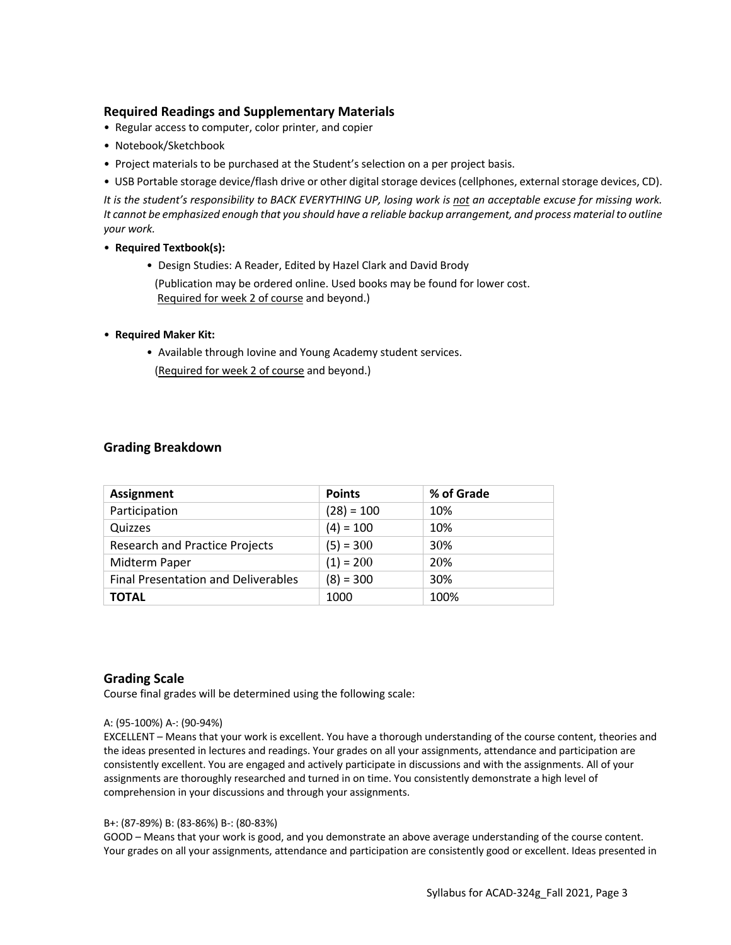## **Required Readings and Supplementary Materials**

- Regular access to computer, color printer, and copier
- Notebook/Sketchbook
- Project materials to be purchased at the Student's selection on a per project basis.
- USB Portable storage device/flash drive or other digital storage devices (cellphones, external storage devices, CD).

*It is the student's responsibility to BACK EVERYTHING UP, losing work is not an acceptable excuse for missing work. It cannot be emphasized enough that you should have a reliable backup arrangement, and process material to outline your work.*

#### • **Required Textbook(s):**

• Design Studies: A Reader, Edited by Hazel Clark and David Brody (Publication may be ordered online. Used books may be found for lower cost. Required for week 2 of course and beyond.)

#### • **Required Maker Kit:**

• Available through Iovine and Young Academy student services. (Required for week 2 of course and beyond.)

### **Grading Breakdown**

| <b>Assignment</b>                          | <b>Points</b> | % of Grade |
|--------------------------------------------|---------------|------------|
| Participation                              | $(28) = 100$  | 10%        |
| Quizzes                                    | $(4) = 100$   | 10%        |
| <b>Research and Practice Projects</b>      | $(5) = 300$   | 30%        |
| Midterm Paper                              | $(1) = 200$   | 20%        |
| <b>Final Presentation and Deliverables</b> | $(8) = 300$   | 30%        |
| <b>TOTAL</b>                               | 1000          | 100%       |

## **Grading Scale**

Course final grades will be determined using the following scale:

#### A: (95-100%) A-: (90-94%)

EXCELLENT – Means that your work is excellent. You have a thorough understanding of the course content, theories and the ideas presented in lectures and readings. Your grades on all your assignments, attendance and participation are consistently excellent. You are engaged and actively participate in discussions and with the assignments. All of your assignments are thoroughly researched and turned in on time. You consistently demonstrate a high level of comprehension in your discussions and through your assignments.

#### B+: (87-89%) B: (83-86%) B-: (80-83%)

GOOD – Means that your work is good, and you demonstrate an above average understanding of the course content. Your grades on all your assignments, attendance and participation are consistently good or excellent. Ideas presented in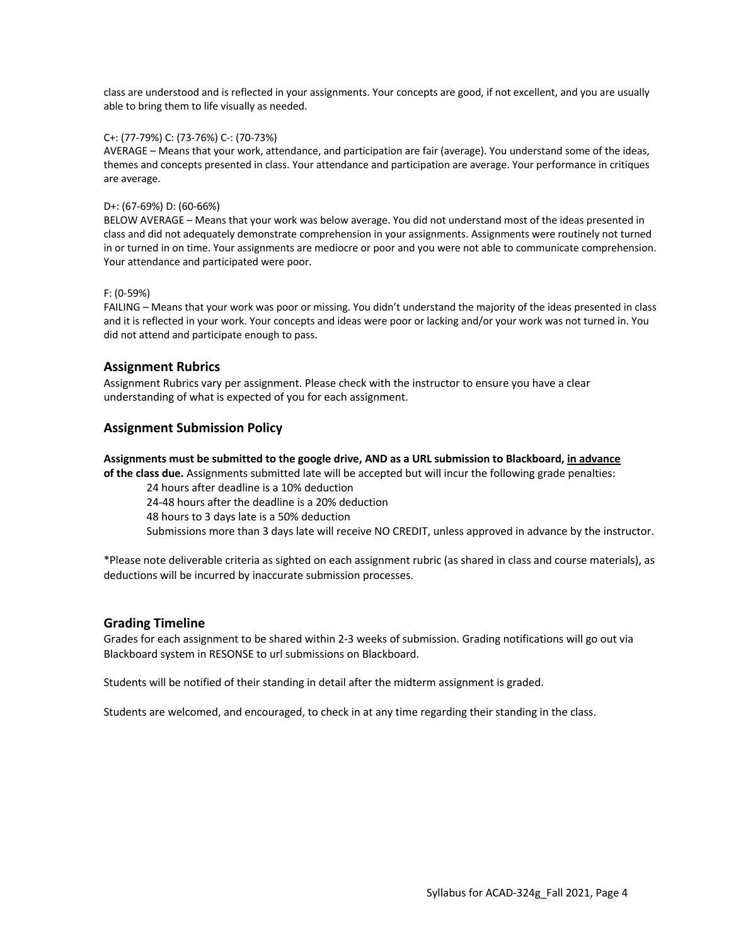class are understood and is reflected in your assignments. Your concepts are good, if not excellent, and you are usually able to bring them to life visually as needed.

#### C+: (77-79%) C: (73-76%) C-: (70-73%)

AVERAGE – Means that your work, attendance, and participation are fair (average). You understand some of the ideas, themes and concepts presented in class. Your attendance and participation are average. Your performance in critiques are average.

#### D+: (67-69%) D: (60-66%)

BELOW AVERAGE – Means that your work was below average. You did not understand most of the ideas presented in class and did not adequately demonstrate comprehension in your assignments. Assignments were routinely not turned in or turned in on time. Your assignments are mediocre or poor and you were not able to communicate comprehension. Your attendance and participated were poor.

#### F: (0-59%)

FAILING – Means that your work was poor or missing. You didn't understand the majority of the ideas presented in class and it is reflected in your work. Your concepts and ideas were poor or lacking and/or your work was not turned in. You did not attend and participate enough to pass.

## **Assignment Rubrics**

Assignment Rubrics vary per assignment. Please check with the instructor to ensure you have a clear understanding of what is expected of you for each assignment.

## **Assignment Submission Policy**

#### **Assignments must be submitted to the google drive, AND as a URL submission to Blackboard, in advance**

**of the class due.** Assignments submitted late will be accepted but will incur the following grade penalties:

24 hours after deadline is a 10% deduction

24-48 hours after the deadline is a 20% deduction

48 hours to 3 days late is a 50% deduction

Submissions more than 3 days late will receive NO CREDIT, unless approved in advance by the instructor.

\*Please note deliverable criteria as sighted on each assignment rubric (as shared in class and course materials), as deductions will be incurred by inaccurate submission processes.

#### **Grading Timeline**

Grades for each assignment to be shared within 2-3 weeks of submission. Grading notifications will go out via Blackboard system in RESONSE to url submissions on Blackboard.

Students will be notified of their standing in detail after the midterm assignment is graded.

Students are welcomed, and encouraged, to check in at any time regarding their standing in the class.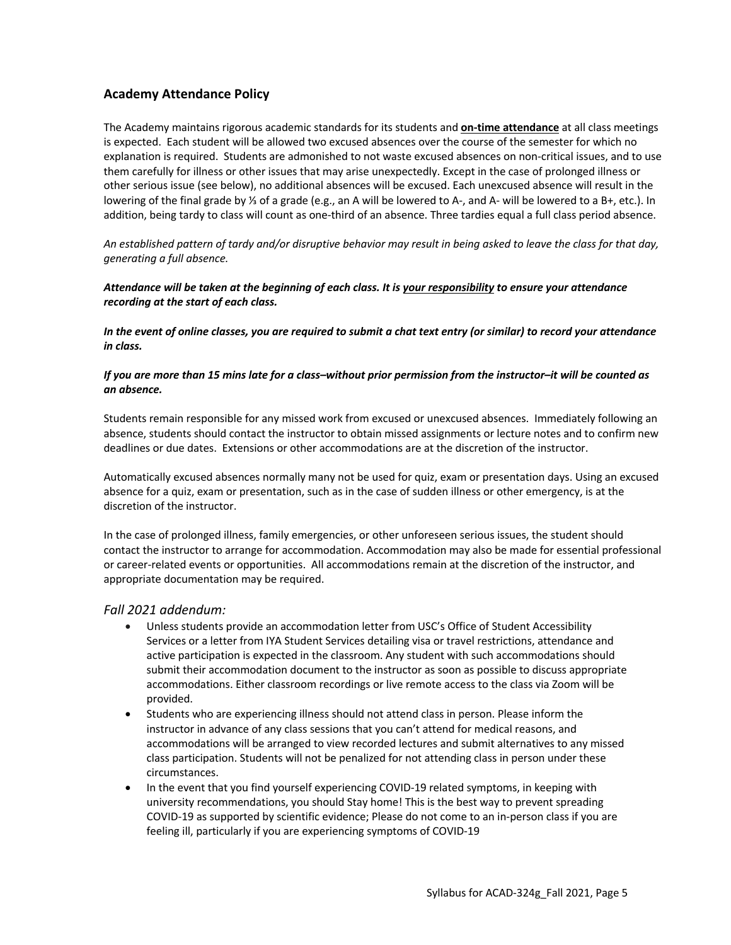## **Academy Attendance Policy**

The Academy maintains rigorous academic standards for its students and **on-time attendance** at all class meetings is expected. Each student will be allowed two excused absences over the course of the semester for which no explanation is required. Students are admonished to not waste excused absences on non-critical issues, and to use them carefully for illness or other issues that may arise unexpectedly. Except in the case of prolonged illness or other serious issue (see below), no additional absences will be excused. Each unexcused absence will result in the lowering of the final grade by ⅓ of a grade (e.g., an A will be lowered to A-, and A- will be lowered to a B+, etc.). In addition, being tardy to class will count as one-third of an absence. Three tardies equal a full class period absence.

*An established pattern of tardy and/or disruptive behavior may result in being asked to leave the class for that day, generating a full absence.*

#### *Attendance will be taken at the beginning of each class. It is your responsibility to ensure your attendance recording at the start of each class.*

*In the event of online classes, you are required to submit a chat text entry (or similar) to record your attendance in class.*

#### *If you are more than 15 mins late for a class–without prior permission from the instructor–it will be counted as an absence.*

Students remain responsible for any missed work from excused or unexcused absences. Immediately following an absence, students should contact the instructor to obtain missed assignments or lecture notes and to confirm new deadlines or due dates. Extensions or other accommodations are at the discretion of the instructor.

Automatically excused absences normally many not be used for quiz, exam or presentation days. Using an excused absence for a quiz, exam or presentation, such as in the case of sudden illness or other emergency, is at the discretion of the instructor.

In the case of prolonged illness, family emergencies, or other unforeseen serious issues, the student should contact the instructor to arrange for accommodation. Accommodation may also be made for essential professional or career-related events or opportunities. All accommodations remain at the discretion of the instructor, and appropriate documentation may be required.

#### *Fall 2021 addendum:*

- Unless students provide an accommodation letter from USC's Office of Student Accessibility Services or a letter from IYA Student Services detailing visa or travel restrictions, attendance and active participation is expected in the classroom. Any student with such accommodations should submit their accommodation document to the instructor as soon as possible to discuss appropriate accommodations. Either classroom recordings or live remote access to the class via Zoom will be provided.
- Students who are experiencing illness should not attend class in person. Please inform the instructor in advance of any class sessions that you can't attend for medical reasons, and accommodations will be arranged to view recorded lectures and submit alternatives to any missed class participation. Students will not be penalized for not attending class in person under these circumstances.
- In the event that you find yourself experiencing COVID-19 related symptoms, in keeping with university recommendations, you should Stay home! This is the best way to prevent spreading COVID-19 as supported by scientific evidence; Please do not come to an in-person class if you are feeling ill, particularly if you are experiencing symptoms of COVID-19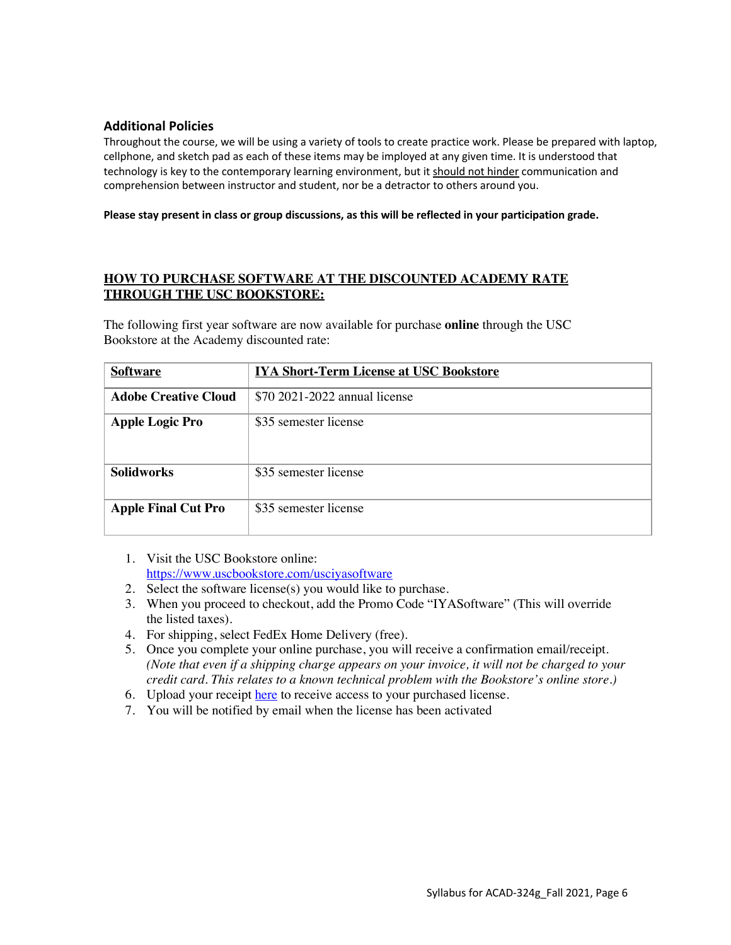## **Additional Policies**

Throughout the course, we will be using a variety of tools to create practice work. Please be prepared with laptop, cellphone, and sketch pad as each of these items may be imployed at any given time. It is understood that technology is key to the contemporary learning environment, but it should not hinder communication and comprehension between instructor and student, nor be a detractor to others around you.

**Please stay present in class or group discussions, as this will be reflected in your participation grade.**

## **HOW TO PURCHASE SOFTWARE AT THE DISCOUNTED ACADEMY RATE THROUGH THE USC BOOKSTORE:**

The following first year software are now available for purchase **online** through the USC Bookstore at the Academy discounted rate:

| <b>Software</b>             | <b>IYA Short-Term License at USC Bookstore</b> |
|-----------------------------|------------------------------------------------|
| <b>Adobe Creative Cloud</b> | \$70 2021-2022 annual license                  |
| <b>Apple Logic Pro</b>      | \$35 semester license                          |
| <b>Solidworks</b>           | \$35 semester license                          |
| <b>Apple Final Cut Pro</b>  | \$35 semester license                          |

- 1. Visit the USC Bookstore online: https://www.uscbookstore.com/usciyasoftware
- 2. Select the software license(s) you would like to purchase.
- 3. When you proceed to checkout, add the Promo Code "IYASoftware" (This will override the listed taxes).
- 4. For shipping, select FedEx Home Delivery (free).
- 5. Once you complete your online purchase, you will receive a confirmation email/receipt. *(Note that even if a shipping charge appears on your invoice, it will not be charged to your credit card. This relates to a known technical problem with the Bookstore's online store.)*
- 6. Upload your receipt here to receive access to your purchased license.
- 7. You will be notified by email when the license has been activated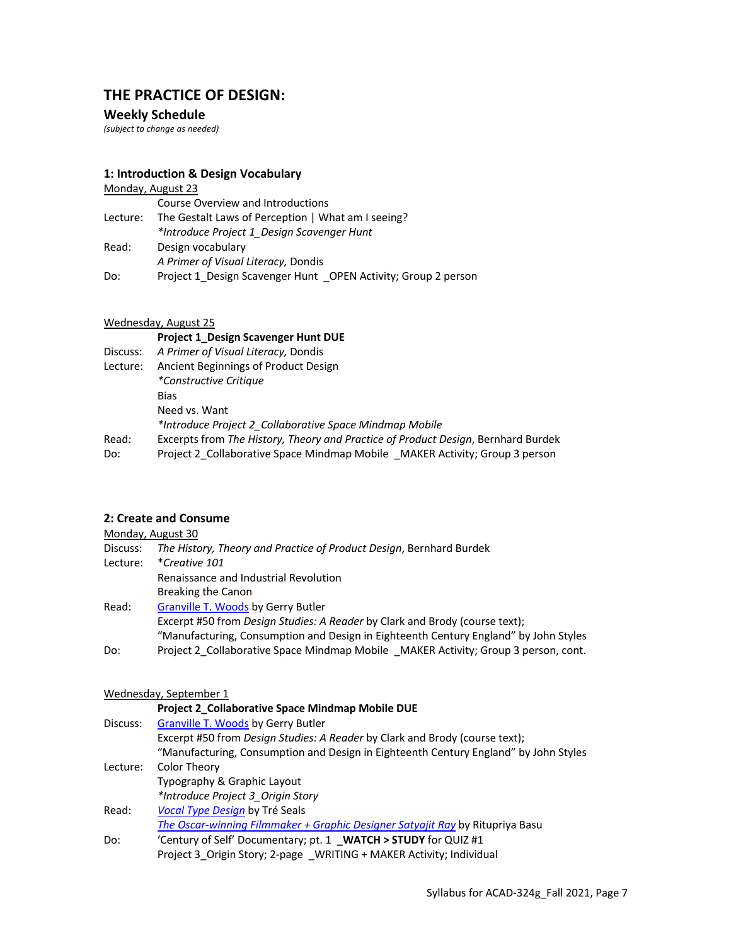## **THE PRACTICE OF DESIGN:**

### **Weekly Schedule**

*(subject to change as needed)*

### **1: Introduction & Design Vocabulary**

#### Monday, August 23 Course Overview and Introductions Lecture: The Gestalt Laws of Perception | What am I seeing?

*\*Introduce Project 1\_Design Scavenger Hunt* Read: Design vocabulary *A Primer of Visual Literacy,* Dondis Do: Project 1\_Design Scavenger Hunt \_OPEN Activity; Group 2 person

#### Wednesday, August 25

## **Project 1\_Design Scavenger Hunt DUE**

Discuss: *A Primer of Visual Literacy,* Dondis Lecture: Ancient Beginnings of Product Design *\*Constructive Critique* Bias Need vs. Want *\*Introduce Project 2\_Collaborative Space Mindmap Mobile*  Read: Excerpts from *The History, Theory and Practice of Product Design*, Bernhard Burdek Do: Project 2\_Collaborative Space Mindmap Mobile \_MAKER Activity; Group 3 person

## **2: Create and Consume**

|          | Monday, August 30                                                                    |
|----------|--------------------------------------------------------------------------------------|
| Discuss: | The History, Theory and Practice of Product Design, Bernhard Burdek                  |
| Lecture: | *Creative 101                                                                        |
|          | Renaissance and Industrial Revolution                                                |
|          | Breaking the Canon                                                                   |
| Read:    | <b>Granville T. Woods by Gerry Butler</b>                                            |
|          | Excerpt #50 from Design Studies: A Reader by Clark and Brody (course text);          |
|          | "Manufacturing, Consumption and Design in Eighteenth Century England" by John Styles |
| Do:      | Project 2 Collaborative Space Mindmap Mobile MAKER Activity; Group 3 person, cont.   |

#### Wednesday, September 1

|          | Project 2_Collaborative Space Mindmap Mobile DUE                                     |
|----------|--------------------------------------------------------------------------------------|
| Discuss: | <b>Granville T. Woods by Gerry Butler</b>                                            |
|          | Excerpt #50 from <i>Design Studies: A Reader</i> by Clark and Brody (course text);   |
|          | "Manufacturing, Consumption and Design in Eighteenth Century England" by John Styles |
| Lecture: | Color Theory                                                                         |
|          | Typography & Graphic Layout                                                          |
|          | *Introduce Project 3 Origin Story                                                    |
| Read:    | Vocal Type Design by Tré Seals                                                       |
|          | The Oscar-winning Filmmaker + Graphic Designer Satyajit Ray by Ritupriya Basu        |
| Do:      | 'Century of Self' Documentary; pt. 1 WATCH > STUDY for QUIZ #1                       |
|          | Project 3 Origin Story; 2-page WRITING + MAKER Activity; Individual                  |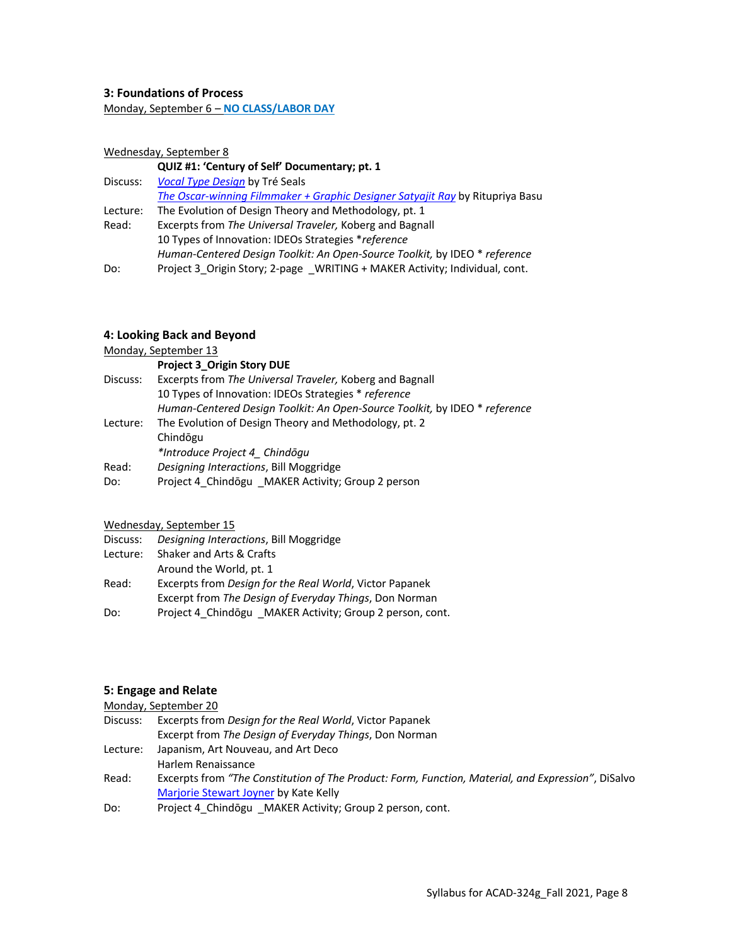#### **3: Foundations of Process**

Monday, September 6 – **NO CLASS/LABOR DAY**

#### Wednesday, September 8

#### **QUIZ #1: 'Century of Self' Documentary; pt. 1**

| Discuss: | Vocal Type Design by Tré Seals                                                |
|----------|-------------------------------------------------------------------------------|
|          | The Oscar-winning Filmmaker + Graphic Designer Satyajit Ray by Ritupriya Basu |
| Lecture: | The Evolution of Design Theory and Methodology, pt. 1                         |
| Read:    | Excerpts from The Universal Traveler, Koberg and Bagnall                      |
|          | 10 Types of Innovation: IDEOs Strategies *reference                           |
|          | Human-Centered Design Toolkit: An Open-Source Toolkit, by IDEO * reference    |
| Do:      | Project 3 Origin Story; 2-page WRITING + MAKER Activity; Individual, cont.    |

#### **4: Looking Back and Beyond**

Monday, September 13

|          | <b>Project 3 Origin Story DUE</b>                                          |
|----------|----------------------------------------------------------------------------|
| Discuss: | Excerpts from The Universal Traveler, Koberg and Bagnall                   |
|          | 10 Types of Innovation: IDEOs Strategies * reference                       |
|          | Human-Centered Design Toolkit: An Open-Source Toolkit, by IDEO * reference |
| Lecture: | The Evolution of Design Theory and Methodology, pt. 2                      |
|          | Chindogu                                                                   |
|          | *Introduce Project 4 Chindōgu                                              |
| Read:    | Designing Interactions, Bill Moggridge                                     |
| Do:      | Project 4 Chindōgu MAKER Activity; Group 2 person                          |

### Wednesday, September 15

| Discuss: | Designing Interactions, Bill Moggridge                   |
|----------|----------------------------------------------------------|
| Lecture: | Shaker and Arts & Crafts                                 |
|          | Around the World, pt. 1                                  |
| Read:    | Excerpts from Design for the Real World, Victor Papanek  |
|          | Excerpt from The Design of Everyday Things, Don Norman   |
| Do:      | Project 4 Chindōgu MAKER Activity; Group 2 person, cont. |

#### **5: Engage and Relate**

## Monday, September 20

- Discuss: Excerpts from *Design for the Real World*, Victor Papanek Excerpt from *The Design of Everyday Things*, Don Norman Lecture: Japanism, Art Nouveau, and Art Deco Harlem Renaissance
- Read: Excerpts from *"The Constitution of The Product: Form, Function, Material, and Expression"*, DiSalvo Marjorie Stewart Joyner by Kate Kelly
- Do: Project 4\_Chindōgu \_MAKER Activity; Group 2 person, cont.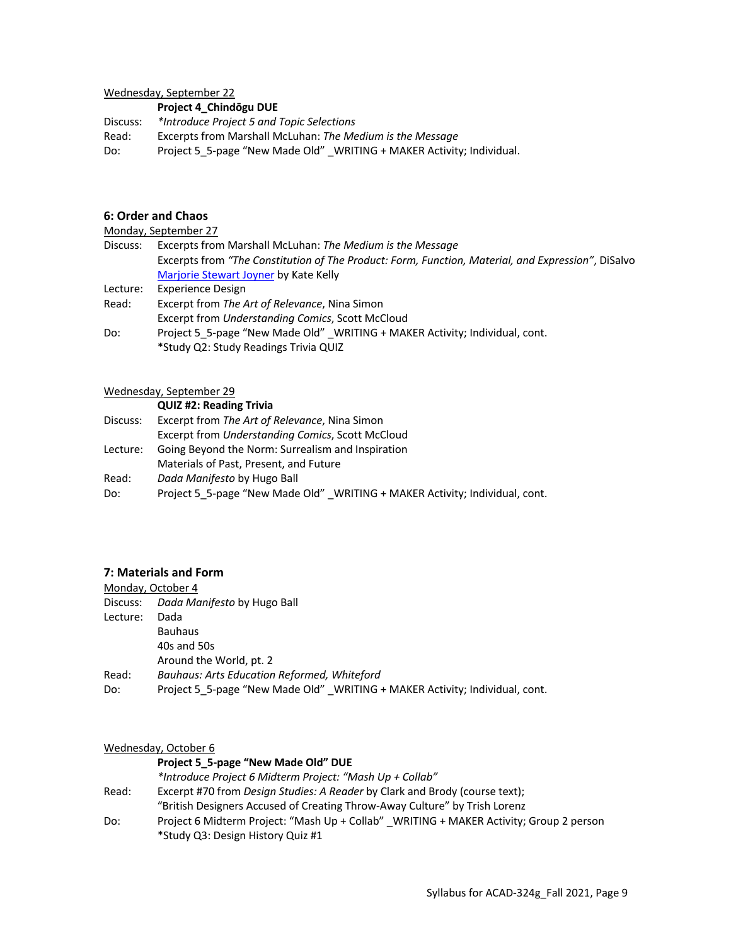Wednesday, September 22

**Project 4\_Chindōgu DUE**

Discuss: *\*Introduce Project 5 and Topic Selections*  Read: Excerpts from Marshall McLuhan: *The Medium is the Message* Do: Project 5\_5-page "New Made Old" \_WRITING + MAKER Activity; Individual.

## **6: Order and Chaos**

Monday, September 27

| Discuss: | Excerpts from Marshall McLuhan: The Medium is the Message                                          |
|----------|----------------------------------------------------------------------------------------------------|
|          | Excerpts from "The Constitution of The Product: Form, Function, Material, and Expression", DiSalvo |
|          | Marjorie Stewart Joyner by Kate Kelly                                                              |
| Lecture: | <b>Experience Design</b>                                                                           |
| Read:    | Excerpt from The Art of Relevance, Nina Simon                                                      |
|          | Excerpt from Understanding Comics, Scott McCloud                                                   |
| Do:      | Project 5 5-page "New Made Old" WRITING + MAKER Activity; Individual, cont.                        |

\*Study Q2: Study Readings Trivia QUIZ

#### Wednesday, September 29

|          | <b>QUIZ #2: Reading Trivia</b>                                              |
|----------|-----------------------------------------------------------------------------|
| Discuss: | Excerpt from The Art of Relevance, Nina Simon                               |
|          | Excerpt from Understanding Comics, Scott McCloud                            |
| Lecture: | Going Beyond the Norm: Surrealism and Inspiration                           |
|          | Materials of Past, Present, and Future                                      |
| Read:    | Dada Manifesto by Hugo Ball                                                 |
| Do:      | Project 5 5-page "New Made Old" WRITING + MAKER Activity; Individual, cont. |

## **7: Materials and Form**

|          | Monday, October 4                                                           |
|----------|-----------------------------------------------------------------------------|
| Discuss: | Dada Manifesto by Hugo Ball                                                 |
| Lecture: | Dada                                                                        |
|          | <b>Bauhaus</b>                                                              |
|          | 40s and 50s                                                                 |
|          | Around the World, pt. 2                                                     |
| Read:    | <b>Bauhaus: Arts Education Reformed, Whiteford</b>                          |
| Do:      | Project 5 5-page "New Made Old" WRITING + MAKER Activity; Individual, cont. |

### Wednesday, October 6

|       | Project 5 5-page "New Made Old" DUE                                                    |
|-------|----------------------------------------------------------------------------------------|
|       | *Introduce Project 6 Midterm Project: "Mash Up + Collab"                               |
| Read: | Excerpt #70 from <i>Design Studies: A Reader</i> by Clark and Brody (course text);     |
|       | "British Designers Accused of Creating Throw-Away Culture" by Trish Lorenz             |
| Do:   | Project 6 Midterm Project: "Mash Up + Collab" WRITING + MAKER Activity; Group 2 person |
|       | *Study Q3: Design History Quiz #1                                                      |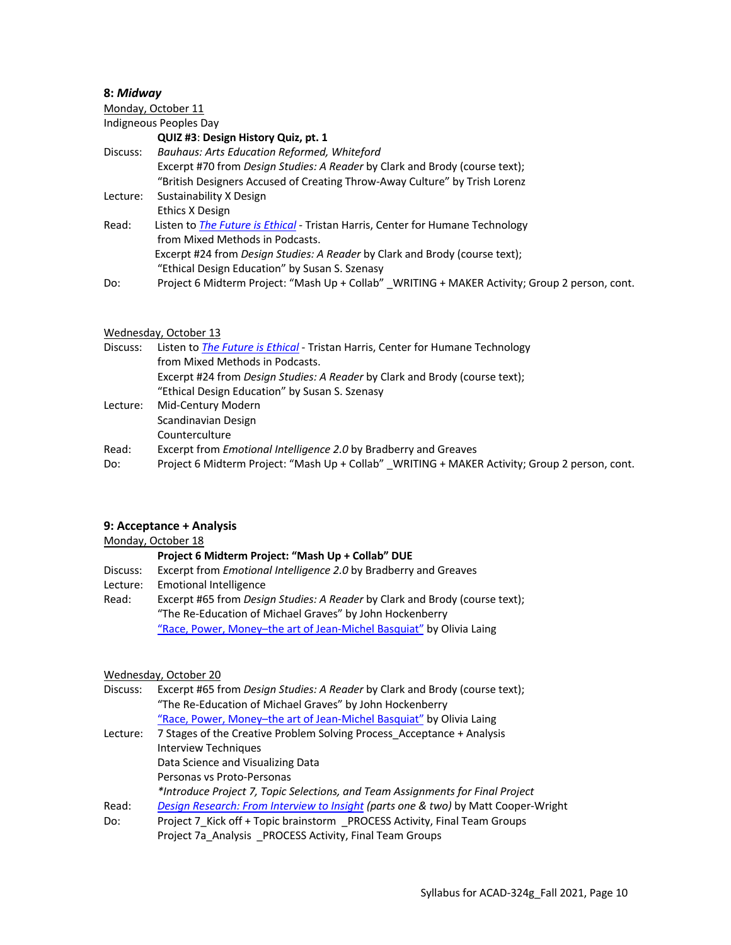#### **8:** *Midway*

Monday, October 11 Indigneous Peoples Day **QUIZ #3**: **Design History Quiz, pt. 1** Discuss: *Bauhaus: Arts Education Reformed, Whiteford* Excerpt #70 from *Design Studies: A Reader* by Clark and Brody (course text); "British Designers Accused of Creating Throw-Away Culture" by Trish Lorenz Lecture: Sustainability X Design Ethics X Design Read: Listen to *The Future is Ethical* - Tristan Harris, Center for Humane Technology from Mixed Methods in Podcasts. Excerpt #24 from *Design Studies: A Reader* by Clark and Brody (course text); "Ethical Design Education" by Susan S. Szenasy Do: Project 6 Midterm Project: "Mash Up + Collab" \_WRITING + MAKER Activity; Group 2 person, cont.

#### Wednesday, October 13

| Discuss: | Listen to The Future is Ethical - Tristan Harris, Center for Humane Technology                |
|----------|-----------------------------------------------------------------------------------------------|
|          | from Mixed Methods in Podcasts.                                                               |
|          | Excerpt #24 from <i>Design Studies: A Reader</i> by Clark and Brody (course text);            |
|          | "Ethical Design Education" by Susan S. Szenasy                                                |
| Lecture: | Mid-Century Modern                                                                            |
|          | Scandinavian Design                                                                           |
|          | Counterculture                                                                                |
| Read:    | Excerpt from <i>Emotional Intelligence 2.0</i> by Bradberry and Greaves                       |
| Do:      | Project 6 Midterm Project: "Mash Up + Collab" WRITING + MAKER Activity; Group 2 person, cont. |

#### **9: Acceptance + Analysis**

|          | Monday, October 18                                                                 |
|----------|------------------------------------------------------------------------------------|
|          | Project 6 Midterm Project: "Mash Up + Collab" DUE                                  |
| Discuss: | Excerpt from <i>Emotional Intelligence 2.0</i> by Bradberry and Greaves            |
| Lecture: | <b>Emotional Intelligence</b>                                                      |
| Read:    | Excerpt #65 from <i>Design Studies: A Reader</i> by Clark and Brody (course text); |
|          | "The Re-Education of Michael Graves" by John Hockenberry                           |
|          | "Race, Power, Money-the art of Jean-Michel Basquiat" by Olivia Laing               |

#### Wednesday, October 20

| Discuss: | Excerpt #65 from Design Studies: A Reader by Clark and Brody (course text);        |
|----------|------------------------------------------------------------------------------------|
|          | "The Re-Education of Michael Graves" by John Hockenberry                           |
|          | "Race, Power, Money-the art of Jean-Michel Basquiat" by Olivia Laing               |
| Lecture: | 7 Stages of the Creative Problem Solving Process Acceptance + Analysis             |
|          | Interview Techniques                                                               |
|          | Data Science and Visualizing Data                                                  |
|          | Personas vs Proto-Personas                                                         |
|          | *Introduce Project 7, Topic Selections, and Team Assignments for Final Project     |
| Read:    | Design Research: From Interview to Insight (parts one & two) by Matt Cooper-Wright |
| Do:      | Project 7 Kick off + Topic brainstorm PROCESS Activity, Final Team Groups          |
|          | Project 7a Analysis PROCESS Activity, Final Team Groups                            |
|          |                                                                                    |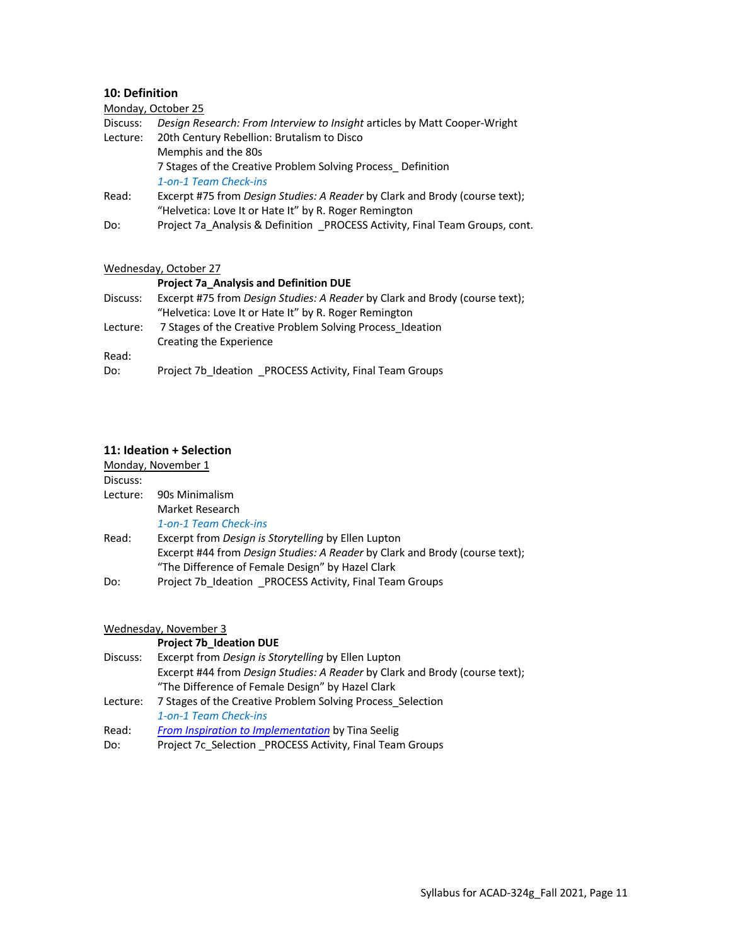## **10: Definition**

|          | Monday, October 25                                                                 |
|----------|------------------------------------------------------------------------------------|
| Discuss: | Design Research: From Interview to Insight articles by Matt Cooper-Wright          |
| Lecture: | 20th Century Rebellion: Brutalism to Disco                                         |
|          | Memphis and the 80s                                                                |
|          | 7 Stages of the Creative Problem Solving Process Definition                        |
|          | 1-on-1 Team Check-ins                                                              |
| Read:    | Excerpt #75 from <i>Design Studies: A Reader</i> by Clark and Brody (course text); |
|          | "Helvetica: Love It or Hate It" by R. Roger Remington                              |
| Do:      | Project 7a Analysis & Definition PROCESS Activity, Final Team Groups, cont.        |

#### Wednesday, October 27

#### **Project 7a\_Analysis and Definition DUE**

| Discuss: | Excerpt #75 from Design Studies: A Reader by Clark and Brody (course text); |
|----------|-----------------------------------------------------------------------------|
|          | "Helvetica: Love It or Hate It" by R. Roger Remington                       |
| Lecture: | 7 Stages of the Creative Problem Solving Process Ideation                   |
|          | Creating the Experience                                                     |
| Read:    |                                                                             |
| Do:      | Project 7b Ideation PROCESS Activity, Final Team Groups                     |

#### **11: Ideation + Selection**

|          | Monday, November 1                                                                 |
|----------|------------------------------------------------------------------------------------|
| Discuss: |                                                                                    |
| Lecture: | 90s Minimalism                                                                     |
|          | Market Research                                                                    |
|          | 1-on-1 Team Check-ins                                                              |
| Read:    | Excerpt from Design is Storytelling by Ellen Lupton                                |
|          | Excerpt #44 from <i>Design Studies: A Reader</i> by Clark and Brody (course text); |
|          | "The Difference of Female Design" by Hazel Clark                                   |
| Do:      | Project 7b Ideation PROCESS Activity, Final Team Groups                            |

Wednesday, November 3

## **Project 7b\_Ideation DUE** Discuss: Excerpt from *Design is Storytelling* by Ellen Lupton Excerpt #44 from *Design Studies: A Reader* by Clark and Brody (course text); "The Difference of Female Design" by Hazel Clark Lecture: 7 Stages of the Creative Problem Solving Process\_Selection *1-on-1 Team Check-ins* Read: *From Inspiration to Implementation* by Tina Seelig Do: Project 7c\_Selection \_PROCESS Activity, Final Team Groups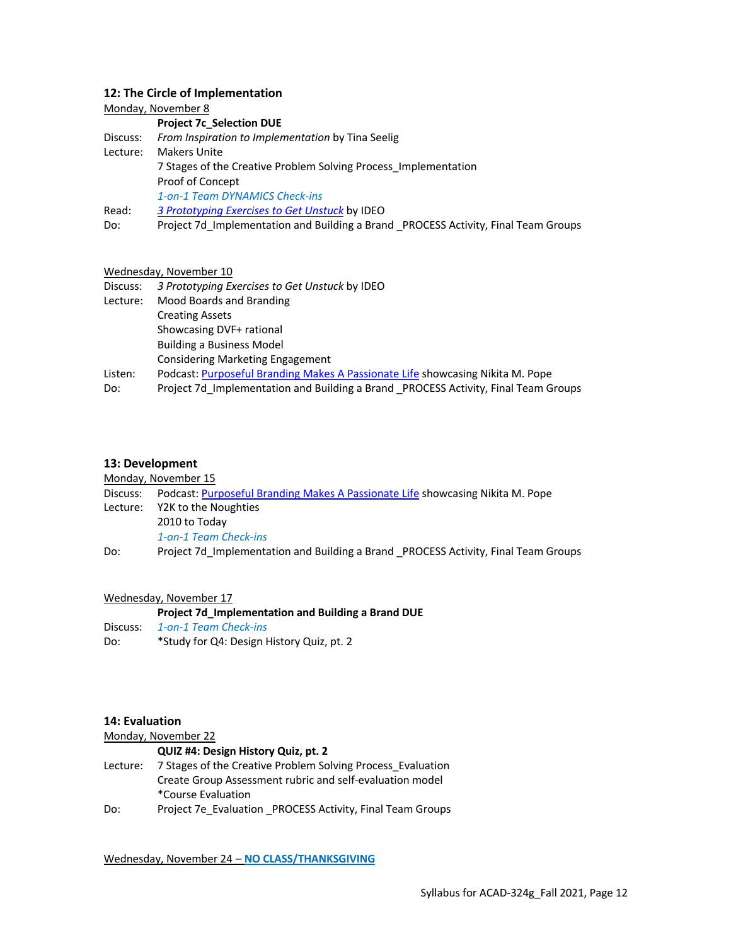#### **12: The Circle of Implementation**

### Monday, November 8 **Project 7c\_Selection DUE** Discuss: *From Inspiration to Implementation* by Tina Seelig Lecture: Makers Unite 7 Stages of the Creative Problem Solving Process\_Implementation Proof of Concept *1-on-1 Team DYNAMICS Check-ins* Read: *3 Prototyping Exercises to Get Unstuck* by IDEO Do: Project 7d\_Implementation and Building a Brand \_PROCESS Activity, Final Team Groups

#### Wednesday, November 10

| Discuss: | 3 Prototyping Exercises to Get Unstuck by IDEO                                      |
|----------|-------------------------------------------------------------------------------------|
| Lecture: | Mood Boards and Branding                                                            |
|          | <b>Creating Assets</b>                                                              |
|          | Showcasing DVF+ rational                                                            |
|          | <b>Building a Business Model</b>                                                    |
|          | <b>Considering Marketing Engagement</b>                                             |
| Listen:  | Podcast: Purposeful Branding Makes A Passionate Life showcasing Nikita M. Pope      |
| Do:      | Project 7d_Implementation and Building a Brand _PROCESS Activity, Final Team Groups |

#### **13: Development**

Monday, November 15

| Discuss: | Podcast: Purposeful Branding Makes A Passionate Life showcasing Nikita M. Pope     |  |
|----------|------------------------------------------------------------------------------------|--|
|          | Lecture: Y2K to the Noughties                                                      |  |
|          | 2010 to Today                                                                      |  |
|          | 1-on-1 Team Check-ins                                                              |  |
| Do:      | Project 7d Implementation and Building a Brand PROCESS Activity, Final Team Groups |  |

#### Wednesday, November 17

**Project 7d\_Implementation and Building a Brand DUE** Discuss: *1-on-1 Team Check-ins* Do: \* Study for Q4: Design History Quiz, pt. 2

#### **14: Evaluation**

| Monday, November 22 |                                                             |  |
|---------------------|-------------------------------------------------------------|--|
|                     | QUIZ #4: Design History Quiz, pt. 2                         |  |
| Lecture:            | 7 Stages of the Creative Problem Solving Process Evaluation |  |
|                     | Create Group Assessment rubric and self-evaluation model    |  |
|                     | *Course Evaluation                                          |  |
| Do:                 | Project 7e Evaluation PROCESS Activity, Final Team Groups   |  |

Wednesday, November 24 – **NO CLASS/THANKSGIVING**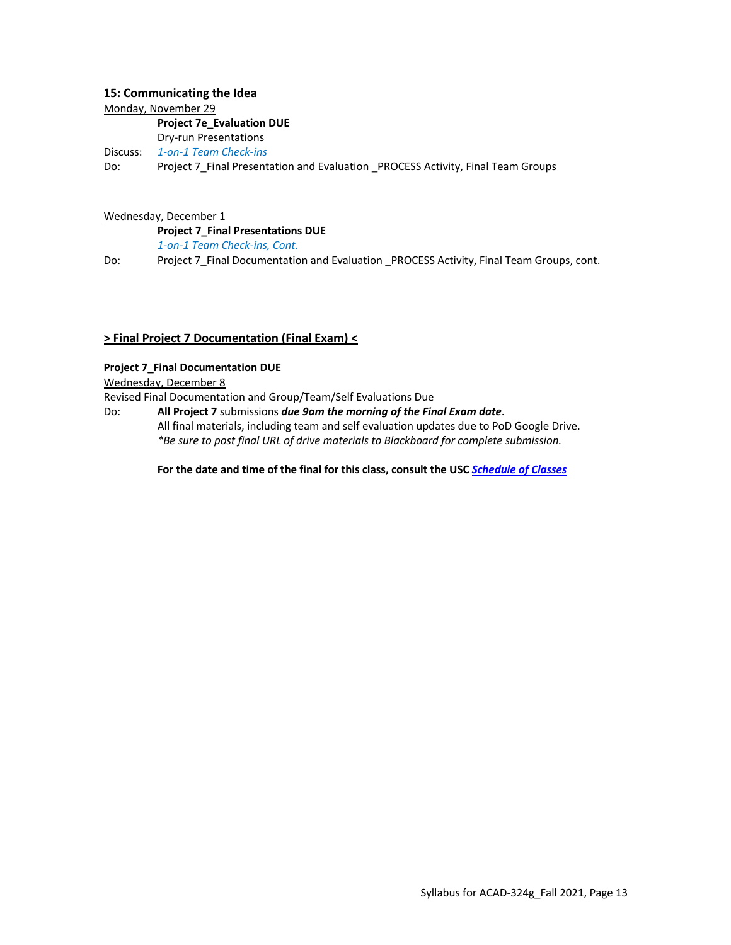#### **15: Communicating the Idea**

Monday, November 29

#### **Project 7e\_Evaluation DUE**

Dry-run Presentations

Discuss: *1-on-1 Team Check-ins*

Do: Project 7\_Final Presentation and Evaluation \_PROCESS Activity, Final Team Groups

### Wednesday, December 1

**Project 7\_Final Presentations DUE** *1-on-1 Team Check-ins, Cont.*

Do: Project 7\_Final Documentation and Evaluation \_PROCESS Activity, Final Team Groups, cont.

## **> Final Project 7 Documentation (Final Exam) <**

### **Project 7\_Final Documentation DUE**

Wednesday, December 8

Revised Final Documentation and Group/Team/Self Evaluations Due

Do: **All Project 7** submissions *due 9am the morning of the Final Exam date*. All final materials, including team and self evaluation updates due to PoD Google Drive. *\*Be sure to post final URL of drive materials to Blackboard for complete submission.*

**For the date and time of the final for this class, consult the USC** *Schedule of Classes*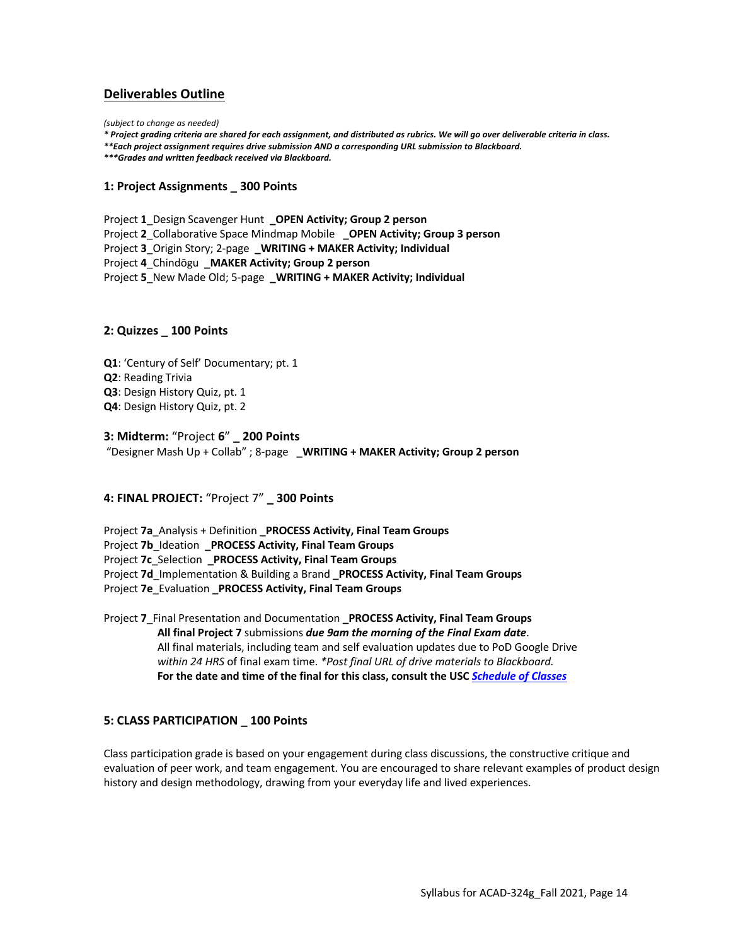## **Deliverables Outline**

*(subject to change as needed)*

*\* Project grading criteria are shared for each assignment, and distributed as rubrics. We will go over deliverable criteria in class.*

*\*\*Each project assignment requires drive submission AND a corresponding URL submission to Blackboard.* 

*\*\*\*Grades and written feedback received via Blackboard.*

#### **1: Project Assignments \_ 300 Points**

Project **1**\_Design Scavenger Hunt **\_OPEN Activity; Group 2 person** Project **2**\_Collaborative Space Mindmap Mobile **\_OPEN Activity; Group 3 person** Project **3**\_Origin Story; 2-page **\_WRITING + MAKER Activity; Individual** Project **4**\_Chindōgu **\_MAKER Activity; Group 2 person** Project **5**\_New Made Old; 5-page **\_WRITING + MAKER Activity; Individual**

#### **2: Quizzes \_ 100 Points**

**Q1**: 'Century of Self' Documentary; pt. 1 **Q2**: Reading Trivia **Q3**: Design History Quiz, pt. 1 **Q4**: Design History Quiz, pt. 2

#### **3: Midterm:** "Project **6**" **\_ 200 Points**

"Designer Mash Up + Collab" ; 8-page **\_WRITING + MAKER Activity; Group 2 person**

#### **4: FINAL PROJECT:** "Project 7" **\_ 300 Points**

Project **7a**\_Analysis + Definition **\_PROCESS Activity, Final Team Groups** Project **7b**\_Ideation **\_PROCESS Activity, Final Team Groups** Project **7c**\_Selection **\_PROCESS Activity, Final Team Groups** Project **7d**\_Implementation & Building a Brand **\_PROCESS Activity, Final Team Groups** Project **7e**\_Evaluation **\_PROCESS Activity, Final Team Groups**

Project **7**\_Final Presentation and Documentation **\_PROCESS Activity, Final Team Groups All final Project 7** submissions *due 9am the morning of the Final Exam date*. All final materials, including team and self evaluation updates due to PoD Google Drive *within 24 HRS* of final exam time. *\*Post final URL of drive materials to Blackboard.* **For the date and time of the final for this class, consult the USC** *Schedule of Classes*

#### **5: CLASS PARTICIPATION \_ 100 Points**

Class participation grade is based on your engagement during class discussions, the constructive critique and evaluation of peer work, and team engagement. You are encouraged to share relevant examples of product design history and design methodology, drawing from your everyday life and lived experiences.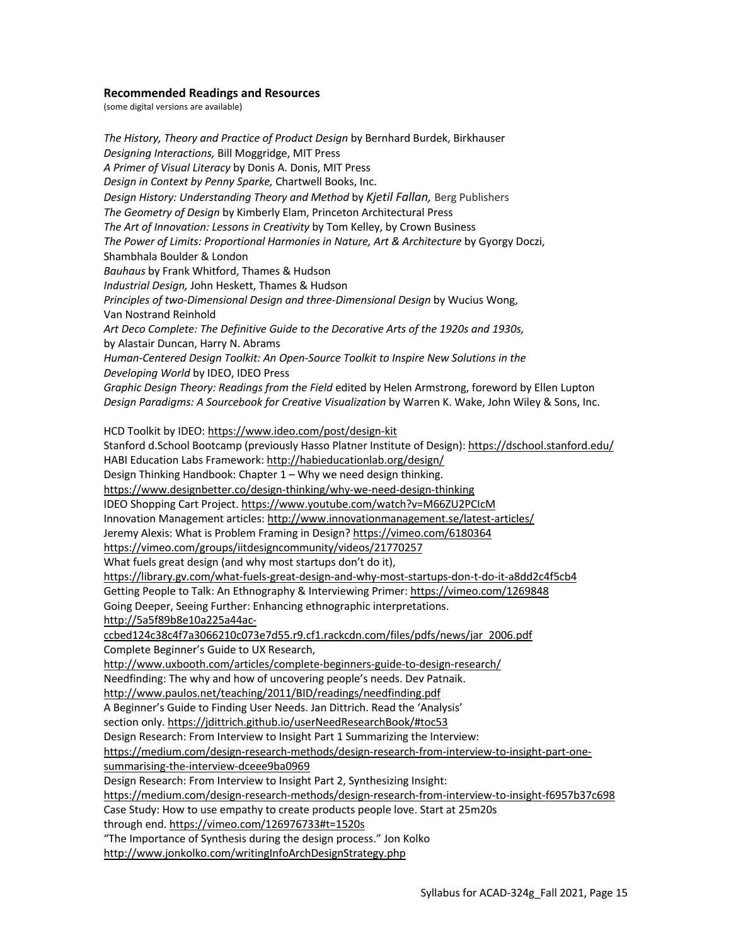#### **Recommended Readings and Resources**

(some digital versions are available)

*The History, Theory and Practice of Product Design* by Bernhard Burdek, Birkhauser *Designing Interactions,* Bill Moggridge, MIT Press *A Primer of Visual Literacy* by Donis A. Donis, MIT Press *Design in Context by Penny Sparke,* Chartwell Books, Inc. *Design History: Understanding Theory and Method* by *Kjetil Fallan,* Berg Publishers *The Geometry of Design* by Kimberly Elam, Princeton Architectural Press *The Art of Innovation: Lessons in Creativity* by Tom Kelley, by Crown Business *The Power of Limits: Proportional Harmonies in Nature, Art & Architecture* by Gyorgy Doczi, Shambhala Boulder & London *Bauhaus* by Frank Whitford, Thames & Hudson *Industrial Design,* John Heskett, Thames & Hudson *Principles of two-Dimensional Design and three-Dimensional Design* by Wucius Wong, Van Nostrand Reinhold *Art Deco Complete: The Definitive Guide to the Decorative Arts of the 1920s and 1930s,* by Alastair Duncan, Harry N. Abrams *Human-Centered Design Toolkit: An Open-Source Toolkit to Inspire New Solutions in the Developing World* by IDEO, IDEO Press *Graphic Design Theory: Readings from the Field* edited by Helen Armstrong, foreword by Ellen Lupton *Design Paradigms: A Sourcebook for Creative Visualization* by Warren K. Wake, John Wiley & Sons, Inc. HCD Toolkit by IDEO: https://www.ideo.com/post/design-kit Stanford d.School Bootcamp (previously Hasso Platner Institute of Design): https://dschool.stanford.edu/ HABI Education Labs Framework: http://habieducationlab.org/design/ Design Thinking Handbook: Chapter 1 – Why we need design thinking. https://www.designbetter.co/design-thinking/why-we-need-design-thinking IDEO Shopping Cart Project. https://www.youtube.com/watch?v=M66ZU2PCIcM Innovation Management articles: http://www.innovationmanagement.se/latest-articles/ Jeremy Alexis: What is Problem Framing in Design? https://vimeo.com/6180364 https://vimeo.com/groups/iitdesigncommunity/videos/21770257 What fuels great design (and why most startups don't do it), https://library.gv.com/what-fuels-great-design-and-why-most-startups-don-t-do-it-a8dd2c4f5cb4 Getting People to Talk: An Ethnography & Interviewing Primer: https://vimeo.com/1269848 Going Deeper, Seeing Further: Enhancing ethnographic interpretations. http://5a5f89b8e10a225a44acccbed124c38c4f7a3066210c073e7d55.r9.cf1.rackcdn.com/files/pdfs/news/jar\_2006.pdf Complete Beginner's Guide to UX Research, http://www.uxbooth.com/articles/complete-beginners-guide-to-design-research/ Needfinding: The why and how of uncovering people's needs. Dev Patnaik. http://www.paulos.net/teaching/2011/BID/readings/needfinding.pdf A Beginner's Guide to Finding User Needs. Jan Dittrich. Read the 'Analysis' section only. https://jdittrich.github.io/userNeedResearchBook/#toc53 Design Research: From Interview to Insight Part 1 Summarizing the Interview: https://medium.com/design-research-methods/design-research-from-interview-to-insight-part-onesummarising-the-interview-dceee9ba0969 Design Research: From Interview to Insight Part 2, Synthesizing Insight: https://medium.com/design-research-methods/design-research-from-interview-to-insight-f6957b37c698 Case Study: How to use empathy to create products people love. Start at 25m20s through end. https://vimeo.com/126976733#t=1520s "The Importance of Synthesis during the design process." Jon Kolko http://www.jonkolko.com/writingInfoArchDesignStrategy.php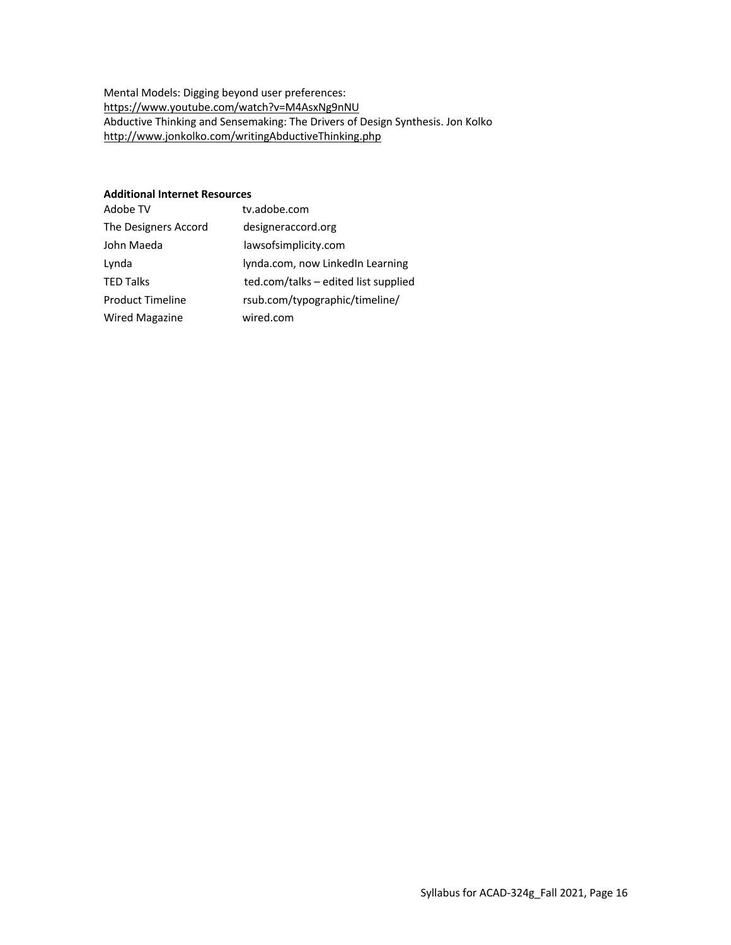Mental Models: Digging beyond user preferences: https://www.youtube.com/watch?v=M4AsxNg9nNU Abductive Thinking and Sensemaking: The Drivers of Design Synthesis. Jon Kolko http://www.jonkolko.com/writingAbductiveThinking.php

#### **Additional Internet Resources**

| Adobe TV                | tv.adobe.com                         |
|-------------------------|--------------------------------------|
| The Designers Accord    | designeraccord.org                   |
| John Maeda              | lawsofsimplicity.com                 |
| Lynda                   | lynda.com, now LinkedIn Learning     |
| <b>TED Talks</b>        | ted.com/talks – edited list supplied |
| <b>Product Timeline</b> | rsub.com/typographic/timeline/       |
| <b>Wired Magazine</b>   | wired.com                            |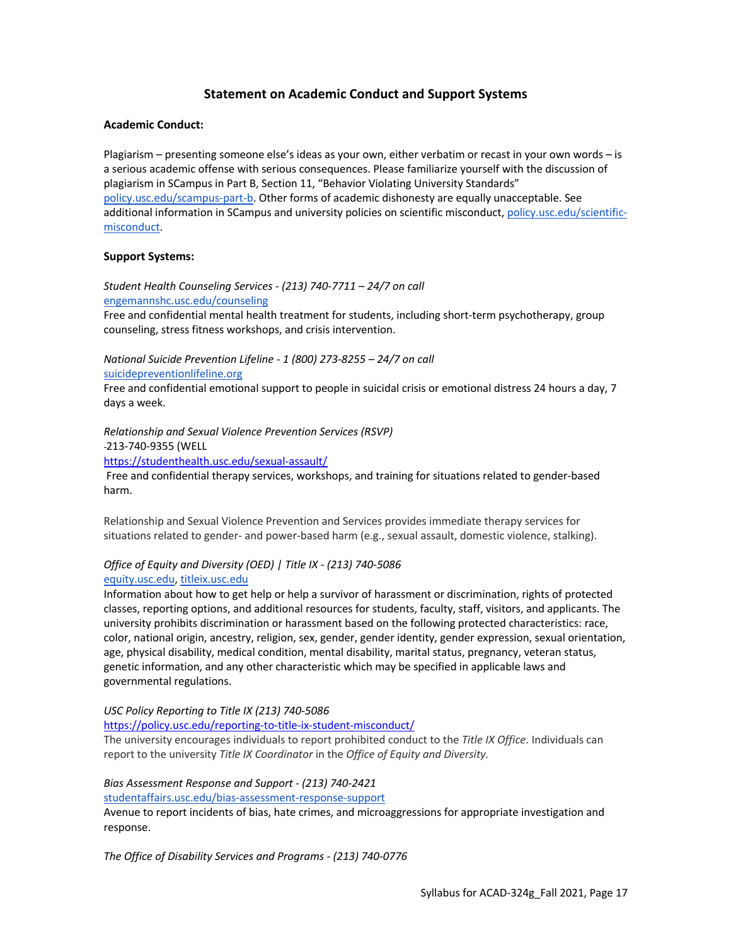## **Statement on Academic Conduct and Support Systems**

#### **Academic Conduct:**

Plagiarism – presenting someone else's ideas as your own, either verbatim or recast in your own words – is a serious academic offense with serious consequences. Please familiarize yourself with the discussion of plagiarism in SCampus in Part B, Section 11, "Behavior Violating University Standards" policy.usc.edu/scampus-part-b. Other forms of academic dishonesty are equally unacceptable. See additional information in SCampus and university policies on scientific misconduct, policy.usc.edu/scientificmisconduct.

#### **Support Systems:**

*Student Health Counseling Services - (213) 740-7711 – 24/7 on call* engemannshc.usc.edu/counseling

Free and confidential mental health treatment for students, including short-term psychotherapy, group counseling, stress fitness workshops, and crisis intervention.

*National Suicide Prevention Lifeline - 1 (800) 273-8255 – 24/7 on call* suicidepreventionlifeline.org

Free and confidential emotional support to people in suicidal crisis or emotional distress 24 hours a day, 7 days a week.

*Relationship and Sexual Violence Prevention Services (RSVP)* 

213-740-9355 (WELL

https://studenthealth.usc.edu/sexual-assault/

Free and confidential therapy services, workshops, and training for situations related to gender-based harm.

Relationship and Sexual Violence Prevention and Services provides immediate therapy services for situations related to gender- and power-based harm (e.g., sexual assault, domestic violence, stalking).

#### *Office of Equity and Diversity (OED) | Title IX - (213) 740-5086* equity.usc.edu, titleix.usc.edu

Information about how to get help or help a survivor of harassment or discrimination, rights of protected classes, reporting options, and additional resources for students, faculty, staff, visitors, and applicants. The university prohibits discrimination or harassment based on the following protected characteristics: race, color, national origin, ancestry, religion, sex, gender, gender identity, gender expression, sexual orientation, age, physical disability, medical condition, mental disability, marital status, pregnancy, veteran status, genetic information, and any other characteristic which may be specified in applicable laws and governmental regulations.

*USC Policy Reporting to Title IX (213) 740-5086*

https://policy.usc.edu/reporting-to-title-ix-student-misconduct/

The university encourages individuals to report prohibited conduct to the *Title IX Office*. Individuals can report to the university *Title IX Coordinator* in the *Office of Equity and Diversity.*

#### *Bias Assessment Response and Support - (213) 740-2421*

studentaffairs.usc.edu/bias-assessment-response-support

Avenue to report incidents of bias, hate crimes, and microaggressions for appropriate investigation and response.

*The Office of Disability Services and Programs - (213) 740-0776*